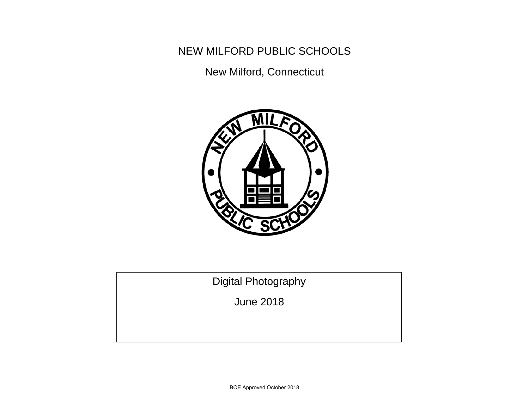NEW MILFORD PUBLIC SCHOOLS

New Milford, Connecticut



Digital Photography

June 2018

BOE Approved October 2018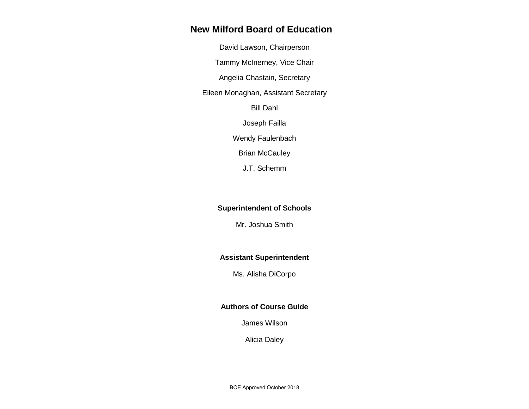## **New Milford Board of Education**

David Lawson, Chairperson

Tammy McInerney, Vice Chair

Angelia Chastain, Secretary

Eileen Monaghan, Assistant Secretary

Bill Dahl

Joseph Failla

Wendy Faulenbach

**Brian McCauley** 

J.T. Schemm

### **Superintendent of Schools**

Mr. Joshua Smith

### **Assistant Superintendent**

Ms. Alisha DiCorpo

### **Authors of Course Guide**

James Wilson

Alicia Daley

BOE Approved October 2018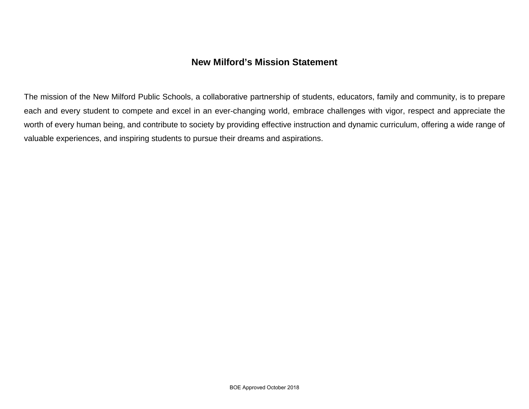# **New Milford's Mission Statement**

The mission of the New Milford Public Schools, a collaborative partnership of students, educators, family and community, is to prepare each and every student to compete and excel in an ever-changing world, embrace challenges with vigor, respect and appreciate the worth of every human being, and contribute to society by providing effective instruction and dynamic curriculum, offering a wide range of valuable experiences, and inspiring students to pursue their dreams and aspirations.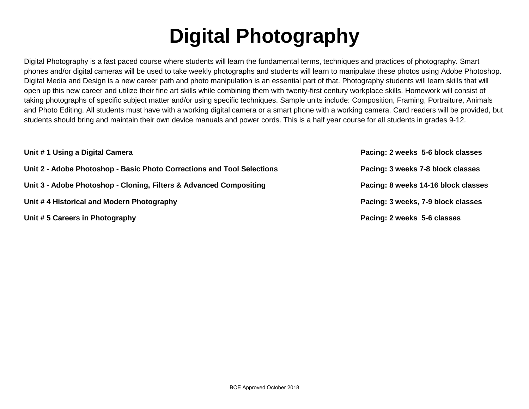# **Digital Photography**

Digital Photography is a fast paced course where students will learn the fundamental terms, techniques and practices of photography. Smart phones and/or digital cameras will be used to take weekly photographs and students will learn to manipulate these photos using Adobe Photoshop. Digital Media and Design is a new career path and photo manipulation is an essential part of that. Photography students will learn skills that will open up this new career and utilize their fine art skills while combining them with twenty-first century workplace skills. Homework will consist of taking photographs of specific subject matter and/or using specific techniques. Sample units include: Composition, Framing, Portraiture, Animals and Photo Editing. All students must have with a working digital camera or a smart phone with a working camera. Card readers will be provided, but students should bring and maintain their own device manuals and power cords. This is a half year course for all students in grades 9-12.

| Unit #1 Using a Digital Camera                                         | Pacing: 2 weeks 5-6 block classes   |
|------------------------------------------------------------------------|-------------------------------------|
| Unit 2 - Adobe Photoshop - Basic Photo Corrections and Tool Selections | Pacing: 3 weeks 7-8 block classes   |
| Unit 3 - Adobe Photoshop - Cloning, Filters & Advanced Compositing     | Pacing: 8 weeks 14-16 block classes |
| Unit #4 Historical and Modern Photography                              | Pacing: 3 weeks, 7-9 block classes  |
| Unit #5 Careers in Photography                                         | Pacing: 2 weeks 5-6 classes         |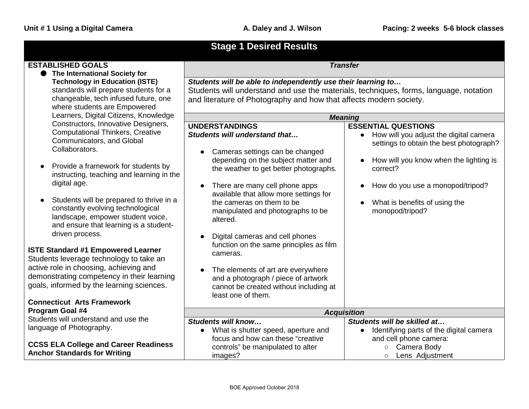| <b>Stage 1 Desired Results</b>                                                                                                                               |                                                                                                                                           |                                                                                                |
|--------------------------------------------------------------------------------------------------------------------------------------------------------------|-------------------------------------------------------------------------------------------------------------------------------------------|------------------------------------------------------------------------------------------------|
| <b>ESTABLISHED GOALS</b>                                                                                                                                     |                                                                                                                                           | <b>Transfer</b>                                                                                |
| • The International Society for<br><b>Technology in Education (ISTE)</b>                                                                                     | Students will be able to independently use their learning to                                                                              |                                                                                                |
| standards will prepare students for a                                                                                                                        | Students will understand and use the materials, techniques, forms, language, notation                                                     |                                                                                                |
| changeable, tech infused future, one<br>where students are Empowered                                                                                         | and literature of Photography and how that affects modern society.                                                                        |                                                                                                |
| Learners, Digital Citizens, Knowledge                                                                                                                        |                                                                                                                                           | <b>Meaning</b>                                                                                 |
| Constructors, Innovative Designers,                                                                                                                          | <b>UNDERSTANDINGS</b>                                                                                                                     | <b>ESSENTIAL QUESTIONS</b>                                                                     |
| <b>Computational Thinkers, Creative</b><br>Communicators, and Global                                                                                         | Students will understand that                                                                                                             | How will you adjust the digital camera<br>$\bullet$<br>settings to obtain the best photograph? |
| Collaborators.                                                                                                                                               | Cameras settings can be changed                                                                                                           |                                                                                                |
| Provide a framework for students by<br>instructing, teaching and learning in the                                                                             | depending on the subject matter and<br>the weather to get better photographs.                                                             | How will you know when the lighting is<br>correct?                                             |
| digital age.                                                                                                                                                 | There are many cell phone apps<br>available that allow more settings for                                                                  | How do you use a monopod/tripod?                                                               |
| Students will be prepared to thrive in a<br>constantly evolving technological<br>landscape, empower student voice,<br>and ensure that learning is a student- | the cameras on them to be<br>manipulated and photographs to be<br>altered.                                                                | What is benefits of using the<br>monopod/tripod?                                               |
| driven process.                                                                                                                                              | Digital cameras and cell phones<br>function on the same principles as film                                                                |                                                                                                |
| <b>ISTE Standard #1 Empowered Learner</b><br>Students leverage technology to take an                                                                         | cameras.                                                                                                                                  |                                                                                                |
| active role in choosing, achieving and<br>demonstrating competency in their learning<br>goals, informed by the learning sciences.                            | The elements of art are everywhere<br>and a photograph / piece of artwork<br>cannot be created without including at<br>least one of them. |                                                                                                |
| <b>Connecticut Arts Framework</b>                                                                                                                            |                                                                                                                                           |                                                                                                |
| Program Goal #4                                                                                                                                              |                                                                                                                                           | <b>Acquisition</b>                                                                             |
| Students will understand and use the                                                                                                                         | Students will know                                                                                                                        | Students will be skilled at                                                                    |
| language of Photography.                                                                                                                                     | What is shutter speed, aperture and                                                                                                       | Identifying parts of the digital camera<br>$\bullet$                                           |
|                                                                                                                                                              | focus and how can these "creative                                                                                                         | and cell phone camera:                                                                         |
| <b>CCSS ELA College and Career Readiness</b><br><b>Anchor Standards for Writing</b>                                                                          | controls" be manipulated to alter                                                                                                         | Camera Body<br>$\circ$                                                                         |
|                                                                                                                                                              | images?                                                                                                                                   | Lens Adjustment<br>$\circ$                                                                     |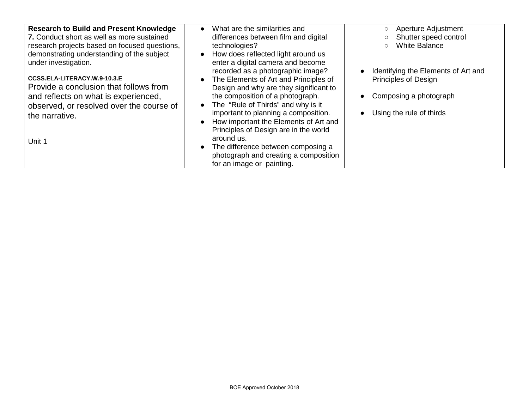| <b>Research to Build and Present Knowledge</b><br>7. Conduct short as well as more sustained<br>research projects based on focused questions,<br>demonstrating understanding of the subject<br>under investigation. | What are the similarities and<br>differences between film and digital<br>technologies?<br>• How does reflected light around us<br>enter a digital camera and become<br>recorded as a photographic image?                                                                                                       | Aperture Adjustment<br>$\circ$<br>Shutter speed control<br>$\circ$<br><b>White Balance</b><br>$\circ$<br>Identifying the Elements of Art and |
|---------------------------------------------------------------------------------------------------------------------------------------------------------------------------------------------------------------------|----------------------------------------------------------------------------------------------------------------------------------------------------------------------------------------------------------------------------------------------------------------------------------------------------------------|----------------------------------------------------------------------------------------------------------------------------------------------|
| CCSS.ELA-LITERACY.W.9-10.3.E<br>Provide a conclusion that follows from<br>and reflects on what is experienced,<br>observed, or resolved over the course of<br>the narrative.<br>Unit 1                              | The Elements of Art and Principles of<br>Design and why are they significant to<br>the composition of a photograph.<br>The "Rule of Thirds" and why is it<br>$\bullet$<br>important to planning a composition.<br>How important the Elements of Art and<br>Principles of Design are in the world<br>around us. | Principles of Design<br>Composing a photograph<br>Using the rule of thirds                                                                   |
|                                                                                                                                                                                                                     | The difference between composing a<br>photograph and creating a composition<br>for an image or painting.                                                                                                                                                                                                       |                                                                                                                                              |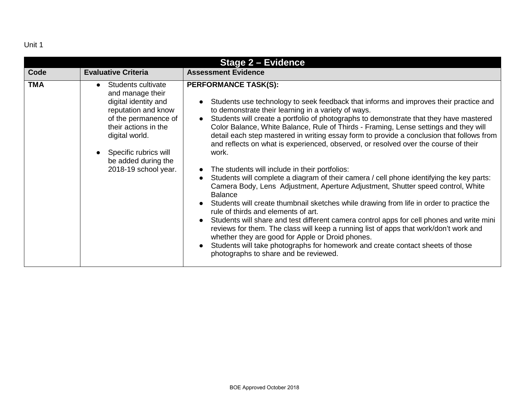| <b>Stage 2 - Evidence</b> |                                                                                                                                                                                                                                 |                                                                                                                                                                                                                                                                                                                                                                                                                                                                                                                                                                                                                                                                                                                                                                                                                                                                                                                                                                                                                                                                                                                                                                                                                                                                                                                       |
|---------------------------|---------------------------------------------------------------------------------------------------------------------------------------------------------------------------------------------------------------------------------|-----------------------------------------------------------------------------------------------------------------------------------------------------------------------------------------------------------------------------------------------------------------------------------------------------------------------------------------------------------------------------------------------------------------------------------------------------------------------------------------------------------------------------------------------------------------------------------------------------------------------------------------------------------------------------------------------------------------------------------------------------------------------------------------------------------------------------------------------------------------------------------------------------------------------------------------------------------------------------------------------------------------------------------------------------------------------------------------------------------------------------------------------------------------------------------------------------------------------------------------------------------------------------------------------------------------------|
| Code                      | <b>Evaluative Criteria</b>                                                                                                                                                                                                      | <b>Assessment Evidence</b>                                                                                                                                                                                                                                                                                                                                                                                                                                                                                                                                                                                                                                                                                                                                                                                                                                                                                                                                                                                                                                                                                                                                                                                                                                                                                            |
| <b>TMA</b>                | Students cultivate<br>and manage their<br>digital identity and<br>reputation and know<br>of the permanence of<br>their actions in the<br>digital world.<br>Specific rubrics will<br>be added during the<br>2018-19 school year. | <b>PERFORMANCE TASK(S):</b><br>Students use technology to seek feedback that informs and improves their practice and<br>to demonstrate their learning in a variety of ways.<br>Students will create a portfolio of photographs to demonstrate that they have mastered<br>Color Balance, White Balance, Rule of Thirds - Framing, Lense settings and they will<br>detail each step mastered in writing essay form to provide a conclusion that follows from<br>and reflects on what is experienced, observed, or resolved over the course of their<br>work.<br>The students will include in their portfolios:<br>Students will complete a diagram of their camera / cell phone identifying the key parts:<br>Camera Body, Lens Adjustment, Aperture Adjustment, Shutter speed control, White<br><b>Balance</b><br>Students will create thumbnail sketches while drawing from life in order to practice the<br>rule of thirds and elements of art.<br>Students will share and test different camera control apps for cell phones and write mini<br>reviews for them. The class will keep a running list of apps that work/don't work and<br>whether they are good for Apple or Droid phones.<br>Students will take photographs for homework and create contact sheets of those<br>photographs to share and be reviewed. |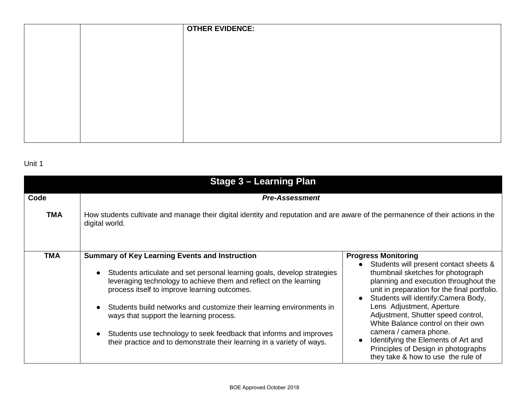|  | <b>OTHER EVIDENCE:</b> |
|--|------------------------|
|  |                        |
|  |                        |
|  |                        |
|  |                        |
|  |                        |
|  |                        |
|  |                        |
|  |                        |
|  |                        |

| <b>Stage 3 - Learning Plan</b> |                                                                                                                                                                                                                                                                                                                                                                                                                                                                                                                                                                 |                                                                                                                                                                                                                                                                                                                                                                                                                                                                                                                             |
|--------------------------------|-----------------------------------------------------------------------------------------------------------------------------------------------------------------------------------------------------------------------------------------------------------------------------------------------------------------------------------------------------------------------------------------------------------------------------------------------------------------------------------------------------------------------------------------------------------------|-----------------------------------------------------------------------------------------------------------------------------------------------------------------------------------------------------------------------------------------------------------------------------------------------------------------------------------------------------------------------------------------------------------------------------------------------------------------------------------------------------------------------------|
| Code                           | <b>Pre-Assessment</b>                                                                                                                                                                                                                                                                                                                                                                                                                                                                                                                                           |                                                                                                                                                                                                                                                                                                                                                                                                                                                                                                                             |
| <b>TMA</b>                     | How students cultivate and manage their digital identity and reputation and are aware of the permanence of their actions in the<br>digital world.                                                                                                                                                                                                                                                                                                                                                                                                               |                                                                                                                                                                                                                                                                                                                                                                                                                                                                                                                             |
| <b>TMA</b>                     | <b>Summary of Key Learning Events and Instruction</b><br>Students articulate and set personal learning goals, develop strategies<br>$\bullet$<br>leveraging technology to achieve them and reflect on the learning<br>process itself to improve learning outcomes.<br>Students build networks and customize their learning environments in<br>$\bullet$<br>ways that support the learning process.<br>Students use technology to seek feedback that informs and improves<br>$\bullet$<br>their practice and to demonstrate their learning in a variety of ways. | <b>Progress Monitoring</b><br>Students will present contact sheets &<br>$\bullet$<br>thumbnail sketches for photograph<br>planning and execution throughout the<br>unit in preparation for the final portfolio.<br>Students will identify: Camera Body,<br>$\bullet$<br>Lens Adjustment, Aperture<br>Adjustment, Shutter speed control,<br>White Balance control on their own<br>camera / camera phone.<br>Identifying the Elements of Art and<br>Principles of Design in photographs<br>they take & how to use the rule of |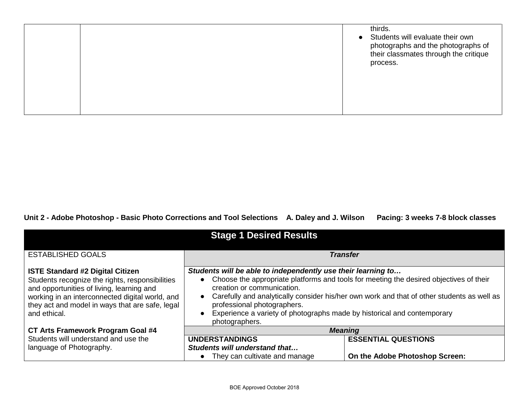**Unit 2 - Adobe Photoshop - Basic Photo Corrections and Tool Selections A. Daley and J. Wilson Pacing: 3 weeks 7-8 block classes**

| <b>Stage 1 Desired Results</b>                                                                                                                                                                                                                                |                                                                                                                                                                                                                                                                                                                                                                                                                    |                                |
|---------------------------------------------------------------------------------------------------------------------------------------------------------------------------------------------------------------------------------------------------------------|--------------------------------------------------------------------------------------------------------------------------------------------------------------------------------------------------------------------------------------------------------------------------------------------------------------------------------------------------------------------------------------------------------------------|--------------------------------|
| <b>ESTABLISHED GOALS</b>                                                                                                                                                                                                                                      | <b>Transfer</b>                                                                                                                                                                                                                                                                                                                                                                                                    |                                |
| <b>ISTE Standard #2 Digital Citizen</b><br>Students recognize the rights, responsibilities<br>and opportunities of living, learning and<br>working in an interconnected digital world, and<br>they act and model in ways that are safe, legal<br>and ethical. | Students will be able to independently use their learning to<br>• Choose the appropriate platforms and tools for meeting the desired objectives of their<br>creation or communication.<br>• Carefully and analytically consider his/her own work and that of other students as well as<br>professional photographers.<br>Experience a variety of photographs made by historical and contemporary<br>photographers. |                                |
| CT Arts Framework Program Goal #4                                                                                                                                                                                                                             | <b>Meaning</b>                                                                                                                                                                                                                                                                                                                                                                                                     |                                |
| Students will understand and use the                                                                                                                                                                                                                          | <b>UNDERSTANDINGS</b>                                                                                                                                                                                                                                                                                                                                                                                              | <b>ESSENTIAL QUESTIONS</b>     |
| language of Photography.                                                                                                                                                                                                                                      | Students will understand that<br>They can cultivate and manage                                                                                                                                                                                                                                                                                                                                                     | On the Adobe Photoshop Screen: |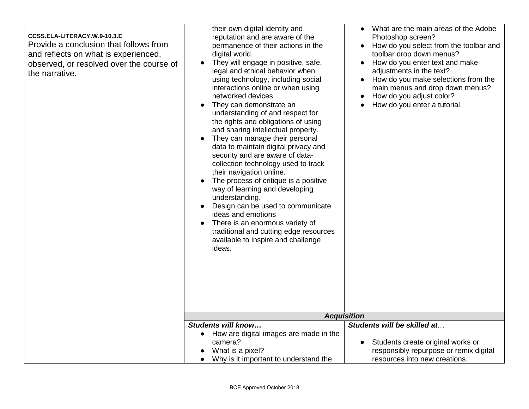| CCSS.ELA-LITERACY.W.9-10.3.E<br>Provide a conclusion that follows from<br>and reflects on what is experienced,<br>observed, or resolved over the course of<br>the narrative. | their own digital identity and<br>reputation and are aware of the<br>permanence of their actions in the<br>digital world.<br>They will engage in positive, safe,<br>legal and ethical behavior when<br>using technology, including social<br>interactions online or when using<br>networked devices.<br>They can demonstrate an<br>understanding of and respect for<br>the rights and obligations of using<br>and sharing intellectual property.<br>They can manage their personal<br>data to maintain digital privacy and<br>security and are aware of data-<br>collection technology used to track<br>their navigation online.<br>The process of critique is a positive<br>way of learning and developing<br>understanding.<br>Design can be used to communicate<br>ideas and emotions<br>There is an enormous variety of<br>traditional and cutting edge resources<br>available to inspire and challenge<br>ideas. | What are the main areas of the Adobe<br>Photoshop screen?<br>How do you select from the toolbar and<br>toolbar drop down menus?<br>How do you enter text and make<br>adjustments in the text?<br>How do you make selections from the<br>main menus and drop down menus?<br>How do you adjust color?<br>How do you enter a tutorial. |
|------------------------------------------------------------------------------------------------------------------------------------------------------------------------------|-----------------------------------------------------------------------------------------------------------------------------------------------------------------------------------------------------------------------------------------------------------------------------------------------------------------------------------------------------------------------------------------------------------------------------------------------------------------------------------------------------------------------------------------------------------------------------------------------------------------------------------------------------------------------------------------------------------------------------------------------------------------------------------------------------------------------------------------------------------------------------------------------------------------------|-------------------------------------------------------------------------------------------------------------------------------------------------------------------------------------------------------------------------------------------------------------------------------------------------------------------------------------|
|                                                                                                                                                                              | Students will know<br>How are digital images are made in the                                                                                                                                                                                                                                                                                                                                                                                                                                                                                                                                                                                                                                                                                                                                                                                                                                                          | <b>Acquisition</b><br>Students will be skilled at                                                                                                                                                                                                                                                                                   |
|                                                                                                                                                                              | camera?<br>What is a pixel?<br>Why is it important to understand the                                                                                                                                                                                                                                                                                                                                                                                                                                                                                                                                                                                                                                                                                                                                                                                                                                                  | Students create original works or<br>responsibly repurpose or remix digital<br>resources into new creations.                                                                                                                                                                                                                        |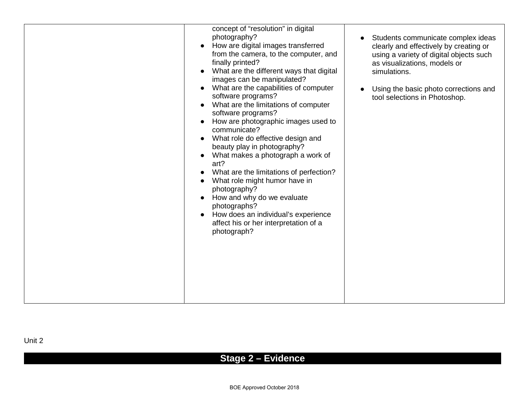# **Stage 2 – Evidence**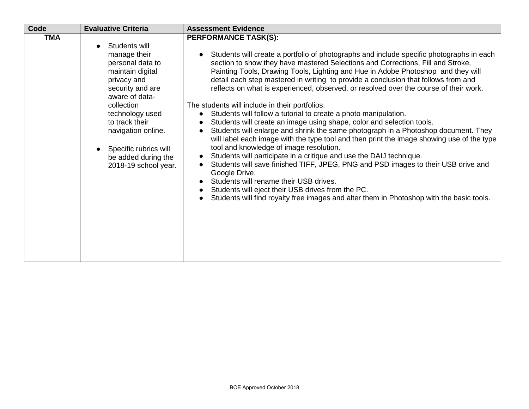| Code       | <b>Evaluative Criteria</b>                                                                                                                                                                                                                                                  | <b>Assessment Evidence</b>                                                                                                                                                                                                                                                                                                                                                                                                                                                                                                                                                                                                                                                                                                                                                                                                                                                                                                                                                                                                                                                                                                                                                                                                                                                                                                                         |
|------------|-----------------------------------------------------------------------------------------------------------------------------------------------------------------------------------------------------------------------------------------------------------------------------|----------------------------------------------------------------------------------------------------------------------------------------------------------------------------------------------------------------------------------------------------------------------------------------------------------------------------------------------------------------------------------------------------------------------------------------------------------------------------------------------------------------------------------------------------------------------------------------------------------------------------------------------------------------------------------------------------------------------------------------------------------------------------------------------------------------------------------------------------------------------------------------------------------------------------------------------------------------------------------------------------------------------------------------------------------------------------------------------------------------------------------------------------------------------------------------------------------------------------------------------------------------------------------------------------------------------------------------------------|
| <b>TMA</b> | Students will<br>manage their<br>personal data to<br>maintain digital<br>privacy and<br>security and are<br>aware of data-<br>collection<br>technology used<br>to track their<br>navigation online.<br>Specific rubrics will<br>be added during the<br>2018-19 school year. | <b>PERFORMANCE TASK(S):</b><br>Students will create a portfolio of photographs and include specific photographs in each<br>$\bullet$<br>section to show they have mastered Selections and Corrections, Fill and Stroke,<br>Painting Tools, Drawing Tools, Lighting and Hue in Adobe Photoshop and they will<br>detail each step mastered in writing to provide a conclusion that follows from and<br>reflects on what is experienced, observed, or resolved over the course of their work.<br>The students will include in their portfolios:<br>Students will follow a tutorial to create a photo manipulation.<br>$\bullet$<br>Students will create an image using shape, color and selection tools.<br>Students will enlarge and shrink the same photograph in a Photoshop document. They<br>$\bullet$<br>will label each image with the type tool and then print the image showing use of the type<br>tool and knowledge of image resolution.<br>Students will participate in a critique and use the DAIJ technique.<br>Students will save finished TIFF, JPEG, PNG and PSD images to their USB drive and<br>$\bullet$<br>Google Drive.<br>Students will rename their USB drives.<br>Students will eject their USB drives from the PC.<br>$\bullet$<br>Students will find royalty free images and alter them in Photoshop with the basic tools. |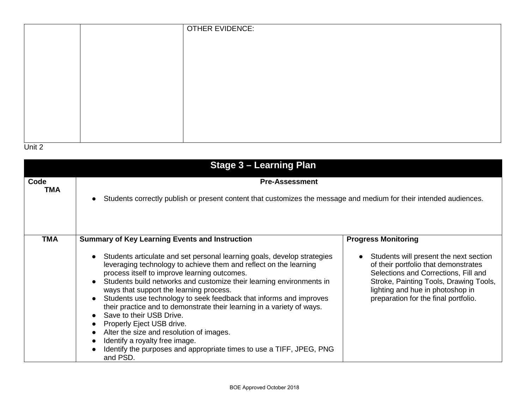|  | <b>OTHER EVIDENCE:</b> |
|--|------------------------|
|  |                        |
|  |                        |
|  |                        |
|  |                        |
|  |                        |
|  |                        |
|  |                        |
|  |                        |
|  |                        |

| Stage 3 – Learning Plan |                                                                                                                                                                                                                                                                                                                                                                                                                                                                                                                                                                                                                                                                                                                                                                                                                      |                                                                                                                                                                                                                                                                            |  |
|-------------------------|----------------------------------------------------------------------------------------------------------------------------------------------------------------------------------------------------------------------------------------------------------------------------------------------------------------------------------------------------------------------------------------------------------------------------------------------------------------------------------------------------------------------------------------------------------------------------------------------------------------------------------------------------------------------------------------------------------------------------------------------------------------------------------------------------------------------|----------------------------------------------------------------------------------------------------------------------------------------------------------------------------------------------------------------------------------------------------------------------------|--|
| Code<br>TMA             | <b>Pre-Assessment</b><br>Students correctly publish or present content that customizes the message and medium for their intended audiences.                                                                                                                                                                                                                                                                                                                                                                                                                                                                                                                                                                                                                                                                          |                                                                                                                                                                                                                                                                            |  |
| <b>TMA</b>              | <b>Summary of Key Learning Events and Instruction</b><br>Students articulate and set personal learning goals, develop strategies<br>$\bullet$<br>leveraging technology to achieve them and reflect on the learning<br>process itself to improve learning outcomes.<br>Students build networks and customize their learning environments in<br>$\bullet$<br>ways that support the learning process.<br>Students use technology to seek feedback that informs and improves<br>their practice and to demonstrate their learning in a variety of ways.<br>Save to their USB Drive.<br>Properly Eject USB drive.<br>$\bullet$<br>Alter the size and resolution of images.<br>$\bullet$<br>Identify a royalty free image.<br>$\bullet$<br>Identify the purposes and appropriate times to use a TIFF, JPEG, PNG<br>and PSD. | <b>Progress Monitoring</b><br>Students will present the next section<br>of their portfolio that demonstrates<br>Selections and Corrections, Fill and<br>Stroke, Painting Tools, Drawing Tools,<br>lighting and hue in photoshop in<br>preparation for the final portfolio. |  |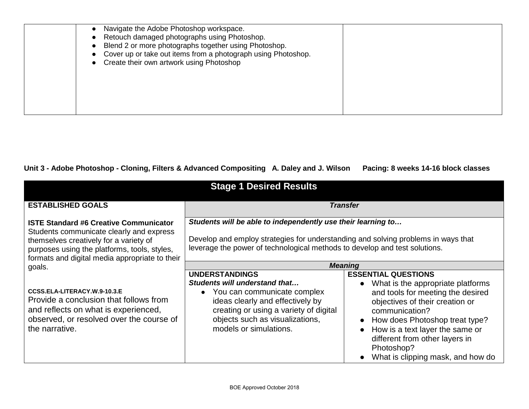| Navigate the Adobe Photoshop workspace.<br>• Retouch damaged photographs using Photoshop.<br>Blend 2 or more photographs together using Photoshop.<br>• Cover up or take out items from a photograph using Photoshop.<br>• Create their own artwork using Photoshop |
|---------------------------------------------------------------------------------------------------------------------------------------------------------------------------------------------------------------------------------------------------------------------|
|                                                                                                                                                                                                                                                                     |

Pacing: 8 weeks 14-16 block classes

| <b>Stage 1 Desired Results</b>                                                                                                                                                                                                        |                                                                                                                                                                                                                                    |                                                                                                                                                                                                                                                                                                                                               |
|---------------------------------------------------------------------------------------------------------------------------------------------------------------------------------------------------------------------------------------|------------------------------------------------------------------------------------------------------------------------------------------------------------------------------------------------------------------------------------|-----------------------------------------------------------------------------------------------------------------------------------------------------------------------------------------------------------------------------------------------------------------------------------------------------------------------------------------------|
| <b>ESTABLISHED GOALS</b>                                                                                                                                                                                                              |                                                                                                                                                                                                                                    | <b>Transfer</b>                                                                                                                                                                                                                                                                                                                               |
| <b>ISTE Standard #6 Creative Communicator</b><br>Students communicate clearly and express<br>themselves creatively for a variety of<br>purposes using the platforms, tools, styles,<br>formats and digital media appropriate to their | Students will be able to independently use their learning to<br>Develop and employ strategies for understanding and solving problems in ways that<br>leverage the power of technological methods to develop and test solutions.    |                                                                                                                                                                                                                                                                                                                                               |
| goals.                                                                                                                                                                                                                                |                                                                                                                                                                                                                                    | <b>Meaning</b>                                                                                                                                                                                                                                                                                                                                |
| CCSS.ELA-LITERACY.W.9-10.3.E<br>Provide a conclusion that follows from<br>and reflects on what is experienced,<br>observed, or resolved over the course of<br>the narrative.                                                          | <b>UNDERSTANDINGS</b><br>Students will understand that<br>• You can communicate complex<br>ideas clearly and effectively by<br>creating or using a variety of digital<br>objects such as visualizations,<br>models or simulations. | <b>ESSENTIAL QUESTIONS</b><br>What is the appropriate platforms<br>$\bullet$<br>and tools for meeting the desired<br>objectives of their creation or<br>communication?<br>How does Photoshop treat type?<br>$\bullet$<br>How is a text layer the same or<br>different from other layers in<br>Photoshop?<br>What is clipping mask, and how do |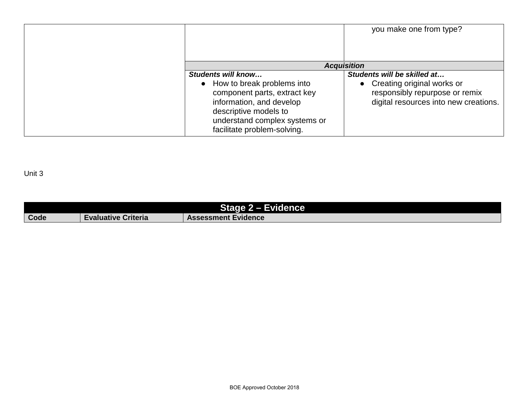|                                                                                                                                         | you make one from type?                                                                                                                |
|-----------------------------------------------------------------------------------------------------------------------------------------|----------------------------------------------------------------------------------------------------------------------------------------|
|                                                                                                                                         | <b>Acquisition</b>                                                                                                                     |
| Students will know<br>• How to break problems into<br>component parts, extract key<br>information, and develop<br>descriptive models to | Students will be skilled at<br>• Creating original works or<br>responsibly repurpose or remix<br>digital resources into new creations. |
| understand complex systems or<br>facilitate problem-solving.                                                                            |                                                                                                                                        |

|      |                            | Stage 2 - Evidence         |
|------|----------------------------|----------------------------|
| Code | <b>Evaluative Criteria</b> | <b>Assessment Evidence</b> |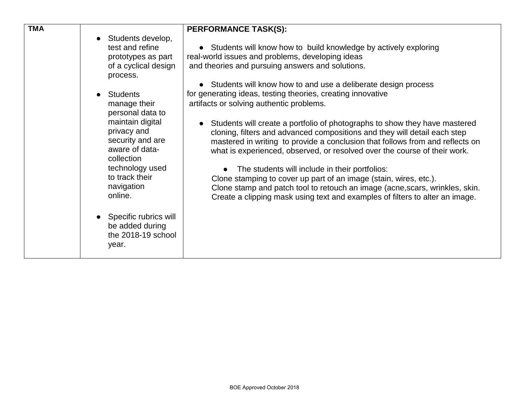| <b>TMA</b><br>$\bullet$<br>$\bullet$ | Students develop,<br>test and refine<br>prototypes as part<br>of a cyclical design<br>process.<br><b>Students</b><br>manage their<br>personal data to<br>maintain digital<br>privacy and<br>security and are<br>aware of data-<br>collection<br>technology used<br>to track their<br>navigation<br>online.<br>Specific rubrics will<br>be added during<br>the 2018-19 school<br>year. | <b>PERFORMANCE TASK(S):</b><br>• Students will know how to build knowledge by actively exploring<br>real-world issues and problems, developing ideas<br>and theories and pursuing answers and solutions.<br>• Students will know how to and use a deliberate design process<br>for generating ideas, testing theories, creating innovative<br>artifacts or solving authentic problems.<br>Students will create a portfolio of photographs to show they have mastered<br>cloning, filters and advanced compositions and they will detail each step<br>mastered in writing to provide a conclusion that follows from and reflects on<br>what is experienced, observed, or resolved over the course of their work.<br>The students will include in their portfolios:<br>Clone stamping to cover up part of an image (stain, wires, etc.).<br>Clone stamp and patch tool to retouch an image (acne, scars, wrinkles, skin.<br>Create a clipping mask using text and examples of filters to alter an image. |
|--------------------------------------|---------------------------------------------------------------------------------------------------------------------------------------------------------------------------------------------------------------------------------------------------------------------------------------------------------------------------------------------------------------------------------------|--------------------------------------------------------------------------------------------------------------------------------------------------------------------------------------------------------------------------------------------------------------------------------------------------------------------------------------------------------------------------------------------------------------------------------------------------------------------------------------------------------------------------------------------------------------------------------------------------------------------------------------------------------------------------------------------------------------------------------------------------------------------------------------------------------------------------------------------------------------------------------------------------------------------------------------------------------------------------------------------------------|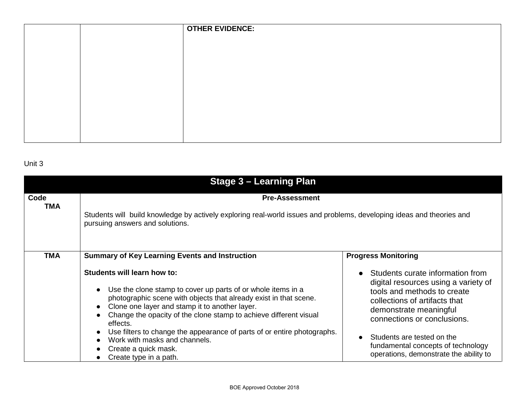|  | <b>OTHER EVIDENCE:</b> |
|--|------------------------|
|  |                        |
|  |                        |
|  |                        |
|  |                        |
|  |                        |
|  |                        |
|  |                        |
|  |                        |
|  |                        |

| <b>Stage 3 - Learning Plan</b> |                                                                                                                                                                                                                                                                                                                                                                                                                                                                                                                                                                                             |                                                                                                                                                                                                                                                                                                                                                            |  |
|--------------------------------|---------------------------------------------------------------------------------------------------------------------------------------------------------------------------------------------------------------------------------------------------------------------------------------------------------------------------------------------------------------------------------------------------------------------------------------------------------------------------------------------------------------------------------------------------------------------------------------------|------------------------------------------------------------------------------------------------------------------------------------------------------------------------------------------------------------------------------------------------------------------------------------------------------------------------------------------------------------|--|
| Code<br><b>TMA</b>             | <b>Pre-Assessment</b><br>Students will build knowledge by actively exploring real-world issues and problems, developing ideas and theories and<br>pursuing answers and solutions.                                                                                                                                                                                                                                                                                                                                                                                                           |                                                                                                                                                                                                                                                                                                                                                            |  |
| <b>TMA</b>                     | <b>Summary of Key Learning Events and Instruction</b><br>Students will learn how to:<br>Use the clone stamp to cover up parts of or whole items in a<br>$\bullet$<br>photographic scene with objects that already exist in that scene.<br>Clone one layer and stamp it to another layer.<br>$\bullet$<br>Change the opacity of the clone stamp to achieve different visual<br>$\bullet$<br>effects.<br>Use filters to change the appearance of parts of or entire photographs.<br>$\bullet$<br>Work with masks and channels.<br>$\bullet$<br>Create a quick mask.<br>Create type in a path. | <b>Progress Monitoring</b><br>Students curate information from<br>$\bullet$<br>digital resources using a variety of<br>tools and methods to create<br>collections of artifacts that<br>demonstrate meaningful<br>connections or conclusions.<br>Students are tested on the<br>fundamental concepts of technology<br>operations, demonstrate the ability to |  |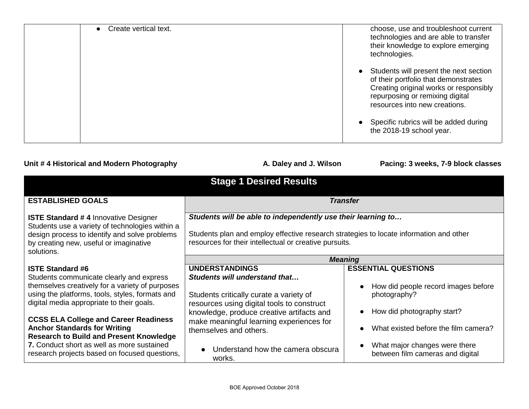| Create vertical text. | choose, use and troubleshoot current<br>technologies and are able to transfer<br>their knowledge to explore emerging<br>technologies.                                                        |
|-----------------------|----------------------------------------------------------------------------------------------------------------------------------------------------------------------------------------------|
|                       | Students will present the next section<br>of their portfolio that demonstrates<br>Creating original works or responsibly<br>repurposing or remixing digital<br>resources into new creations. |
|                       | Specific rubrics will be added during<br>the 2018-19 school year.                                                                                                                            |

### Unit # 4 Historical and Modern Photography **A. Daley and J. Wilson** Pacing: 3 weeks, 7-9 block classes

| <b>Stage 1 Desired Results</b>                                                                                                                                                                                                                                                                                                                                                                                                                                 |                                                                                                                                                                                                                                                                                                                   |                                                                                                                                                                                                                                                                     |
|----------------------------------------------------------------------------------------------------------------------------------------------------------------------------------------------------------------------------------------------------------------------------------------------------------------------------------------------------------------------------------------------------------------------------------------------------------------|-------------------------------------------------------------------------------------------------------------------------------------------------------------------------------------------------------------------------------------------------------------------------------------------------------------------|---------------------------------------------------------------------------------------------------------------------------------------------------------------------------------------------------------------------------------------------------------------------|
| <b>ESTABLISHED GOALS</b>                                                                                                                                                                                                                                                                                                                                                                                                                                       |                                                                                                                                                                                                                                                                                                                   | <b>Transfer</b>                                                                                                                                                                                                                                                     |
| <b>ISTE Standard #4 Innovative Designer</b><br>Students use a variety of technologies within a<br>design process to identify and solve problems<br>by creating new, useful or imaginative<br>solutions.                                                                                                                                                                                                                                                        | Students will be able to independently use their learning to<br>Students plan and employ effective research strategies to locate information and other<br>resources for their intellectual or creative pursuits.                                                                                                  |                                                                                                                                                                                                                                                                     |
|                                                                                                                                                                                                                                                                                                                                                                                                                                                                | <b>Meaning</b>                                                                                                                                                                                                                                                                                                    |                                                                                                                                                                                                                                                                     |
| <b>ISTE Standard #6</b><br>Students communicate clearly and express<br>themselves creatively for a variety of purposes<br>using the platforms, tools, styles, formats and<br>digital media appropriate to their goals.<br><b>CCSS ELA College and Career Readiness</b><br><b>Anchor Standards for Writing</b><br><b>Research to Build and Present Knowledge</b><br>7. Conduct short as well as more sustained<br>research projects based on focused questions, | <b>UNDERSTANDINGS</b><br>Students will understand that<br>Students critically curate a variety of<br>resources using digital tools to construct<br>knowledge, produce creative artifacts and<br>make meaningful learning experiences for<br>themselves and others.<br>Understand how the camera obscura<br>works. | <b>ESSENTIAL QUESTIONS</b><br>How did people record images before<br>$\bullet$<br>photography?<br>How did photography start?<br>$\bullet$<br>What existed before the film camera?<br>What major changes were there<br>$\bullet$<br>between film cameras and digital |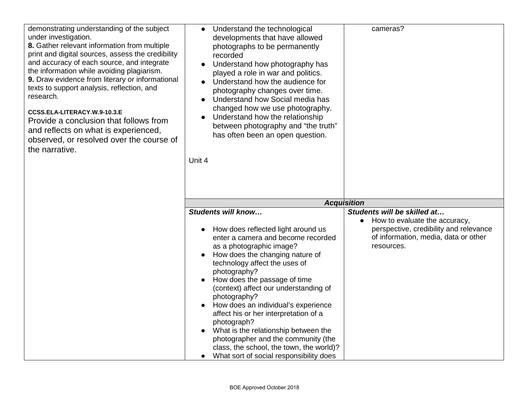| demonstrating understanding of the subject<br>under investigation.<br>8. Gather relevant information from multiple<br>print and digital sources, assess the credibility<br>and accuracy of each source, and integrate<br>the information while avoiding plagiarism.<br>9. Draw evidence from literary or informational<br>texts to support analysis, reflection, and<br>research.<br>CCSS.ELA-LITERACY.W.9-10.3.E<br>Provide a conclusion that follows from<br>and reflects on what is experienced,<br>observed, or resolved over the course of<br>the narrative. | Understand the technological<br>$\bullet$<br>developments that have allowed<br>photographs to be permanently<br>recorded<br>Understand how photography has<br>played a role in war and politics.<br>Understand how the audience for<br>photography changes over time.<br>Understand how Social media has<br>changed how we use photography.<br>Understand how the relationship<br>between photography and "the truth"<br>has often been an open question.<br>Unit 4                                                                                                          | cameras?                                                                                                                                                                  |
|-------------------------------------------------------------------------------------------------------------------------------------------------------------------------------------------------------------------------------------------------------------------------------------------------------------------------------------------------------------------------------------------------------------------------------------------------------------------------------------------------------------------------------------------------------------------|------------------------------------------------------------------------------------------------------------------------------------------------------------------------------------------------------------------------------------------------------------------------------------------------------------------------------------------------------------------------------------------------------------------------------------------------------------------------------------------------------------------------------------------------------------------------------|---------------------------------------------------------------------------------------------------------------------------------------------------------------------------|
|                                                                                                                                                                                                                                                                                                                                                                                                                                                                                                                                                                   |                                                                                                                                                                                                                                                                                                                                                                                                                                                                                                                                                                              | <b>Acquisition</b>                                                                                                                                                        |
|                                                                                                                                                                                                                                                                                                                                                                                                                                                                                                                                                                   | Students will know<br>How does reflected light around us<br>enter a camera and become recorded<br>as a photographic image?<br>How does the changing nature of<br>technology affect the uses of<br>photography?<br>How does the passage of time<br>(context) affect our understanding of<br>photography?<br>How does an individual's experience<br>affect his or her interpretation of a<br>photograph?<br>What is the relationship between the<br>photographer and the community (the<br>class, the school, the town, the world)?<br>What sort of social responsibility does | Students will be skilled at<br>How to evaluate the accuracy,<br>$\bullet$<br>perspective, credibility and relevance<br>of information, media, data or other<br>resources. |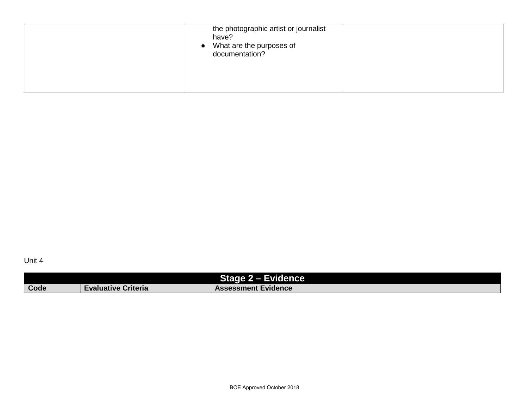| have? | the photographic artist or journalist<br>• What are the purposes of<br>documentation? |
|-------|---------------------------------------------------------------------------------------|
|-------|---------------------------------------------------------------------------------------|

| <b>Stage 2 - Evidence</b> |                            |                            |
|---------------------------|----------------------------|----------------------------|
| Code                      | <b>Evaluative Criteria</b> | <b>Assessment Evidence</b> |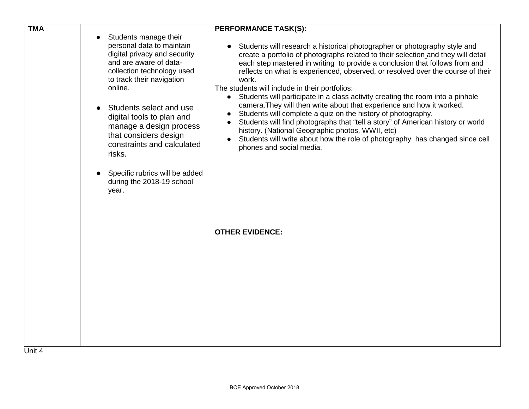| <b>TMA</b> |                                                                                                                                                                                                                                                                                                                                                                                                                | <b>PERFORMANCE TASK(S):</b>                                                                                                                                                                                                                                                                                                                                                                                                                                                                                                                                                                                                                                                                                                                                                                                                                                                 |
|------------|----------------------------------------------------------------------------------------------------------------------------------------------------------------------------------------------------------------------------------------------------------------------------------------------------------------------------------------------------------------------------------------------------------------|-----------------------------------------------------------------------------------------------------------------------------------------------------------------------------------------------------------------------------------------------------------------------------------------------------------------------------------------------------------------------------------------------------------------------------------------------------------------------------------------------------------------------------------------------------------------------------------------------------------------------------------------------------------------------------------------------------------------------------------------------------------------------------------------------------------------------------------------------------------------------------|
|            | Students manage their<br>personal data to maintain<br>digital privacy and security<br>and are aware of data-<br>collection technology used<br>to track their navigation<br>online.<br>Students select and use<br>digital tools to plan and<br>manage a design process<br>that considers design<br>constraints and calculated<br>risks.<br>Specific rubrics will be added<br>during the 2018-19 school<br>year. | Students will research a historical photographer or photography style and<br>create a portfolio of photographs related to their selection and they will detail<br>each step mastered in writing to provide a conclusion that follows from and<br>reflects on what is experienced, observed, or resolved over the course of their<br>work.<br>The students will include in their portfolios:<br>• Students will participate in a class activity creating the room into a pinhole<br>camera. They will then write about that experience and how it worked.<br>Students will complete a quiz on the history of photography.<br>Students will find photographs that "tell a story" of American history or world<br>history. (National Geographic photos, WWII, etc)<br>Students will write about how the role of photography has changed since cell<br>phones and social media. |
| Unit 4     |                                                                                                                                                                                                                                                                                                                                                                                                                | <b>OTHER EVIDENCE:</b>                                                                                                                                                                                                                                                                                                                                                                                                                                                                                                                                                                                                                                                                                                                                                                                                                                                      |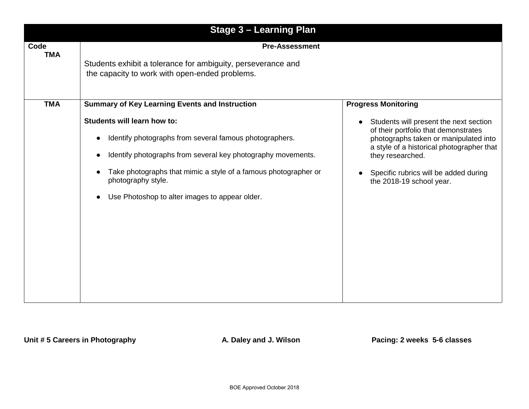| <b>Stage 3 - Learning Plan</b> |                                                                                                                                                                                                                                                                                                   |                                                                                                                                                                                                                                                               |
|--------------------------------|---------------------------------------------------------------------------------------------------------------------------------------------------------------------------------------------------------------------------------------------------------------------------------------------------|---------------------------------------------------------------------------------------------------------------------------------------------------------------------------------------------------------------------------------------------------------------|
| Code<br><b>TMA</b>             | <b>Pre-Assessment</b><br>Students exhibit a tolerance for ambiguity, perseverance and<br>the capacity to work with open-ended problems.                                                                                                                                                           |                                                                                                                                                                                                                                                               |
| <b>TMA</b>                     | <b>Summary of Key Learning Events and Instruction</b>                                                                                                                                                                                                                                             | <b>Progress Monitoring</b>                                                                                                                                                                                                                                    |
|                                | Students will learn how to:<br>Identify photographs from several famous photographers.<br>Identify photographs from several key photography movements.<br>Take photographs that mimic a style of a famous photographer or<br>photography style.<br>Use Photoshop to alter images to appear older. | Students will present the next section<br>of their portfolio that demonstrates<br>photographs taken or manipulated into<br>a style of a historical photographer that<br>they researched.<br>Specific rubrics will be added during<br>the 2018-19 school year. |

Unit # 5 Careers in Photography **A. Daley and J. Wilson** Pacing: 2 weeks 5-6 classes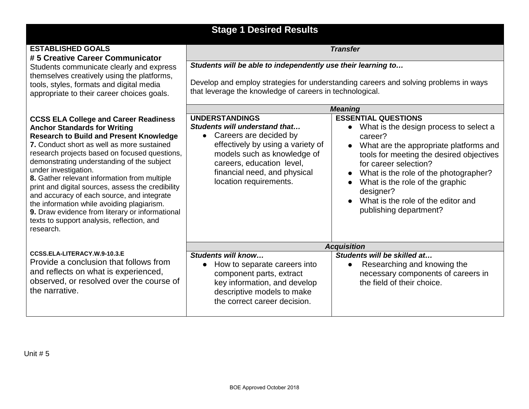## **Stage 1 Desired Results**

### **ESTABLISHED GOALS # 5 Creative Career Communicator**

Students communicate clearly and express themselves creatively using the platforms, tools, styles, formats and digital media appropriate to their career choices goals.

#### **CCSS ELA College and Career Readiness Anchor Standards for Writing Research to Build and Present Knowledge**

**7.** Conduct short as well as more sustained research projects based on focused question demonstrating understanding of the subject under investigation.

**8.** Gather relevant information from multiple print and digital sources, assess the credibility and accuracy of each source, and integrate the information while avoiding plagiarism. **9.** Draw evidence from literary or information texts to support analysis, reflection, and research.

# **[CCSS.ELA-LITERACY.W.9-10.3.E](http://www.corestandards.org/ELA-Literacy/W/9-10/3/e/)** Provide a conclusion that follows from and reflects on what is experienced,

observed, or resolved over the course the narrative.

*Students will be able to independently use their learning to…*

Develop and employ strategies for understanding careers and solving problems in ways that leverage the knowledge of careers in technological.

*Transfer*

|                              | <b>Meaning</b>                                                                                                                                                                                                                              |                                                                                                                                                                                                                                                                                                                                                                          |
|------------------------------|---------------------------------------------------------------------------------------------------------------------------------------------------------------------------------------------------------------------------------------------|--------------------------------------------------------------------------------------------------------------------------------------------------------------------------------------------------------------------------------------------------------------------------------------------------------------------------------------------------------------------------|
| s<br>Įе<br>ns.<br>ity<br>าลไ | <b>UNDERSTANDINGS</b><br>Students will understand that<br>Careers are decided by<br>effectively by using a variety of<br>models such as knowledge of<br>careers, education level,<br>financial need, and physical<br>location requirements. | <b>ESSENTIAL QUESTIONS</b><br>What is the design process to select a<br>career?<br>What are the appropriate platforms and<br>$\bullet$<br>tools for meeting the desired objectives<br>for career selection?<br>• What is the role of the photographer?<br>What is the role of the graphic<br>designer?<br>• What is the role of the editor and<br>publishing department? |
|                              | <b>Acquisition</b>                                                                                                                                                                                                                          |                                                                                                                                                                                                                                                                                                                                                                          |
| οf                           | Students will know<br>How to separate careers into<br>$\bullet$<br>component parts, extract<br>key information, and develop<br>descriptive models to make<br>the correct career decision.                                                   | Students will be skilled at<br>Researching and knowing the<br>$\bullet$<br>necessary components of careers in<br>the field of their choice.                                                                                                                                                                                                                              |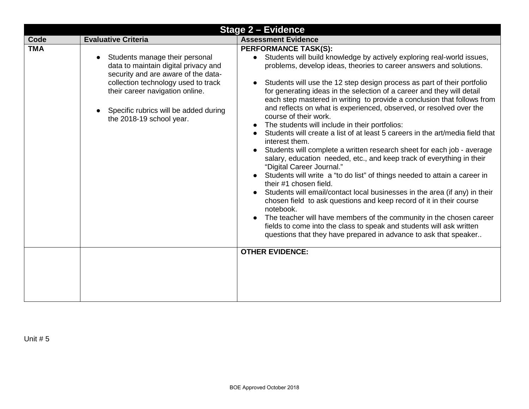| <b>Stage 2 - Evidence</b> |                                                                                                                                                                                                                                                                           |                                                                                                                                                                                                                                                                                                                                                                                                                                                                                                                                                                                                                                                                                                                                                                                                                                                                                                                                                                                                                                                                                                                                                                                                                                                                                                                                              |
|---------------------------|---------------------------------------------------------------------------------------------------------------------------------------------------------------------------------------------------------------------------------------------------------------------------|----------------------------------------------------------------------------------------------------------------------------------------------------------------------------------------------------------------------------------------------------------------------------------------------------------------------------------------------------------------------------------------------------------------------------------------------------------------------------------------------------------------------------------------------------------------------------------------------------------------------------------------------------------------------------------------------------------------------------------------------------------------------------------------------------------------------------------------------------------------------------------------------------------------------------------------------------------------------------------------------------------------------------------------------------------------------------------------------------------------------------------------------------------------------------------------------------------------------------------------------------------------------------------------------------------------------------------------------|
| Code                      | <b>Evaluative Criteria</b>                                                                                                                                                                                                                                                | <b>Assessment Evidence</b>                                                                                                                                                                                                                                                                                                                                                                                                                                                                                                                                                                                                                                                                                                                                                                                                                                                                                                                                                                                                                                                                                                                                                                                                                                                                                                                   |
| <b>TMA</b>                | Students manage their personal<br>$\bullet$<br>data to maintain digital privacy and<br>security and are aware of the data-<br>collection technology used to track<br>their career navigation online.<br>Specific rubrics will be added during<br>the 2018-19 school year. | <b>PERFORMANCE TASK(S):</b><br>Students will build knowledge by actively exploring real-world issues,<br>problems, develop ideas, theories to career answers and solutions.<br>Students will use the 12 step design process as part of their portfolio<br>for generating ideas in the selection of a career and they will detail<br>each step mastered in writing to provide a conclusion that follows from<br>and reflects on what is experienced, observed, or resolved over the<br>course of their work.<br>The students will include in their portfolios:<br>Students will create a list of at least 5 careers in the art/media field that<br>interest them.<br>Students will complete a written research sheet for each job - average<br>salary, education needed, etc., and keep track of everything in their<br>"Digital Career Journal."<br>Students will write a "to do list" of things needed to attain a career in<br>their #1 chosen field.<br>Students will email/contact local businesses in the area (if any) in their<br>chosen field to ask questions and keep record of it in their course<br>notebook.<br>The teacher will have members of the community in the chosen career<br>fields to come into the class to speak and students will ask written<br>questions that they have prepared in advance to ask that speaker |
|                           |                                                                                                                                                                                                                                                                           | <b>OTHER EVIDENCE:</b>                                                                                                                                                                                                                                                                                                                                                                                                                                                                                                                                                                                                                                                                                                                                                                                                                                                                                                                                                                                                                                                                                                                                                                                                                                                                                                                       |